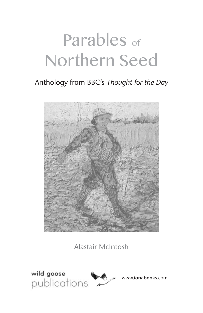# Parables of Northern Seed

# Anthology from BBC's *Thought for the Day*



Alastair McIntosh



www.**ionabooks**.com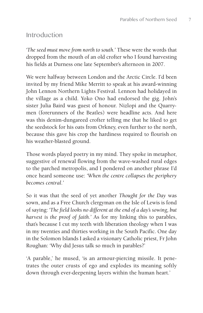### Introduction

*'The seed must move from north to south.'* These were the words that dropped from the mouth of an old crofter who I found harvesting his fields at Durness one late September's afternoon in 2007.

We were halfway between London and the Arctic Circle. I'd been invited by my friend Mike Merritt to speak at his award-winning John Lennon Northern Lights Festival. Lennon had holidayed in the village as a child. Yoko Ono had endorsed the gig. John's sister Julia Baird was guest of honour. Nizlopi and the Quarrymen (forerunners of the Beatles) were headline acts. And here was this denim-dungareed crofter telling me that he liked to get the seedstock for his oats from Orkney, even further to the north, because this gave his crop the hardiness required to flourish on his weather-blasted ground.

Those words played poetry in my mind. They spoke in metaphor, suggestive of renewal flowing from the wave-washed rural edges to the parched metropolis, and I pondered on another phrase I'd once heard someone use: *'When the centre collapses the periphery becomes central.'*

So it was that the seed of yet another *Thought for the Day* was sown, and as a Free Church clergyman on the Isle of Lewis is fond of saying: *'The field looks no different at the end of a day's sowing, but harvest is the proof of faith.'* As for my linking this to parables, that's because I cut my teeth with liberation theology when I was in my twenties and thirties working in the South Pacific. One day in the Solomon Islands I asked a visionary Catholic priest, Fr John Roughan: 'Why did Jesus talk so much in parables?'

'A parable,' he mused, 'is an armour-piercing missile. It penetrates the outer crusts of ego and explodes its meaning softly down through ever-deepening layers within the human heart.'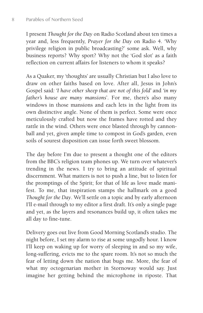I present *Thought for the Day* on Radio Scotland about ten times a year and, less frequently, *Prayer for the Day* on Radio 4. 'Why privilege religion in public broadcasting?' some ask. Well, why business reports? Why sport? Why not the 'God slot' as a faith reflection on current affairs for listeners to whom it speaks?

As a Quaker, my 'thoughts' are usually Christian but I also love to draw on other faiths based on love. After all, Jesus in John's Gospel said*: 'I have other sheep that are not of this fold'* and *'in my father's house are many mansions*'. For me, there's also many windows in those mansions and each lets in the light from its own distinctive angle. None of them is perfect. Some were once meticulously crafted but now the frames have rotted and they rattle in the wind. Others were once blasted through by cannonball and yet, given ample time to compost in God's garden, even soils of sourest disposition can issue forth sweet blossom.

The day before I'm due to present a thought one of the editors from the BBC's religion team phones up. We turn over whatever's trending in the news. I try to bring an attitude of spiritual discernment. What matters is not to push a line, but to listen for the promptings of the Spirit; for that of life as love made manifest. To me, that inspiration stamps the hallmark on a good *Thought for the Day*. We'll settle on a topic and by early afternoon I'll e-mail through to my editor a first draft. It's only a single page and yet, as the layers and resonances build up, it often takes me all day to fine-tune.

Delivery goes out live from Good Morning Scotland's studio. The night before, I set my alarm to rise at some ungodly hour. I know I'll keep on waking up for worry of sleeping in and so my wife, long-suffering, evicts me to the spare room. It's not so much the fear of letting down the nation that bugs me. More, the fear of what my octogenarian mother in Stornoway would say. Just imagine her getting behind the microphone in riposte. That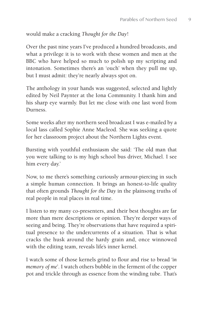#### would make a cracking *Thought for the Day*!

Over the past nine years I've produced a hundred broadcasts, and what a privilege it is to work with these women and men at the BBC who have helped so much to polish up my scripting and intonation. Sometimes there's an 'ouch' when they pull me up, but I must admit: they're nearly always spot on.

The anthology in your hands was suggested, selected and lightly edited by Neil Paynter at the Iona Community. I thank him and his sharp eye warmly. But let me close with one last word from Durness.

Some weeks after my northern seed broadcast I was e-mailed by a local lass called Sophie Anne Macleod. She was seeking a quote for her classroom project about the Northern Lights event.

Bursting with youthful enthusiasm she said: 'The old man that you were talking to is my high school bus driver, Michael. I see him every day.'

Now, to me there's something curiously armour-piercing in such a simple human connection. It brings an honest-to-life quality that often grounds *Thought for the Day* in the plainsong truths of real people in real places in real time.

I listen to my many co-presenters, and their best thoughts are far more than mere descriptions or opinion. They're deeper ways of seeing and being. They're observations that have required a spiritual presence to the undercurrents of a situation. That is what cracks the husk around the hardy grain and, once winnowed with the editing team, reveals life's inner kernel.

I watch some of those kernels grind to flour and rise to bread *'in memory of me*'. I watch others bubble in the ferment of the copper pot and trickle through as essence from the winding tube. That's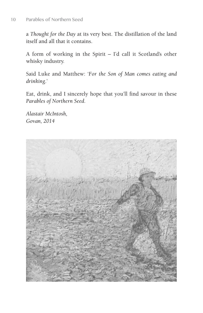a *Thought for the Day* at its very best. The distillation of the land itself and all that it contains.

A form of working in the Spirit – I'd call it Scotland's other whisky industry.

Said Luke and Matthew: '*For the Son of Man comes eating and drinking*.'

Eat, drink, and I sincerely hope that you'll find savour in these *Parables of Northern Seed*.

*Alastair McIntosh, Govan, 2014*

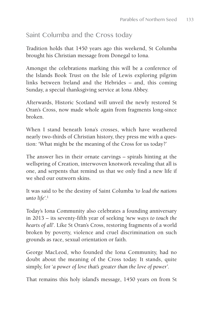# Saint Columba and the Cross today

Tradition holds that 1450 years ago this weekend, St Columba brought his Christian message from Donegal to Iona.

Amongst the celebrations marking this will be a conference of the Islands Book Trust on the Isle of Lewis exploring pilgrim links between Ireland and the Hebrides – and, this coming Sunday, a special thanksgiving service at Iona Abbey.

Afterwards, Historic Scotland will unveil the newly restored St Oran's Cross, now made whole again from fragments long-since broken.

When I stand beneath Iona's crosses, which have weathered nearly two-thirds of Christian history, they press me with a question: 'What might be the meaning of the Cross for us today?'

The answer lies in their ornate carvings – spirals hinting at the wellspring of Creation, interwoven knotwork revealing that all is one, and serpents that remind us that we only find a new life if we shed our outworn skins.

It was said to be the destiny of Saint Columba *'to lead the nations unto life'*. 1

Today's Iona Community also celebrates a founding anniversary in 2013 – its seventy-fifth year of seeking *'new ways to touch the hearts of all'*. Like St Oran's Cross, restoring fragments of a world broken by poverty, violence and cruel discrimination on such grounds as race, sexual orientation or faith.

George MacLeod, who founded the Iona Community, had no doubt about the meaning of the Cross today. It stands, quite simply, for '*a power of love that's greater than the love of power'*.

That remains this holy island's message, 1450 years on from St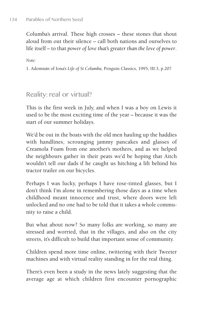Columba's arrival. These high crosses – these stones that shout aloud from out their silence – call both nations and ourselves to life itself – to that *power of love that's greater than the love of power*.

*Note:*

1. Adomnán of Iona's *Life of St Columba*, Penguin Classics, 1995, III:3, p.207

```
Reality: real or virtual?
```
This is the first week in July, and when I was a boy on Lewis it used to be the most exciting time of the year – because it was the start of our summer holidays.

We'd be out in the boats with the old men hauling up the haddies with handlines, scrounging jammy pancakes and glasses of Creamola Foam from one another's mothers, and as we helped the neighbours gather in their peats we'd be hoping that Aitch wouldn't tell our dads if he caught us hitching a lift behind his tractor trailer on our bicycles.

Perhaps I was lucky, perhaps I have rose-tinted glasses, but I don't think I'm alone in remembering those days as a time when childhood meant innocence and trust, where doors were left unlocked and no one had to be told that it takes a whole community to raise a child.

But what about now? So many folks are working, so many are stressed and worried, that in the villages, and also on the city streets, it's difficult to build that important sense of community.

Children spend more time online, twittering with their Tweeter machines and with virtual reality standing in for the real thing.

There's even been a study in the news lately suggesting that the average age at which children first encounter pornographic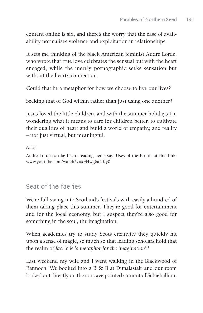content online is six, and there's the worry that the ease of availability normalises violence and exploitation in relationships.

It sets me thinking of the black American feminist Audre Lorde, who wrote that true love celebrates the sensual but with the heart engaged, while the merely pornographic seeks sensation but without the heart's connection.

Could that be a metaphor for how we choose to live our lives?

Seeking that of God within rather than just using one another?

Jesus loved the little children, and with the summer holidays I'm wondering what it means to care for children better, to cultivate their qualities of heart and build a world of empathy, and reality – not just virtual, but meaningful.

*Note:*

Audre Lorde can be heard reading her essay 'Uses of the Erotic' at this link: www.youtube.com/watch?v=xFHwg6aNKy0

# Seat of the faeries

We're full swing into Scotland's festivals with easily a hundred of them taking place this summer. They're good for entertainment and for the local economy, but I suspect they're also good for something in the soul, the imagination.

When academics try to study Scots creativity they quickly hit upon a sense of magic, so much so that leading scholars hold that the realm of *faerie* is *'a metaphor for the imagination'*. 1

Last weekend my wife and I went walking in the Blackwood of Rannoch. We booked into a B & B at Dunalastair and our room looked out directly on the concave pointed summit of Schiehallion.